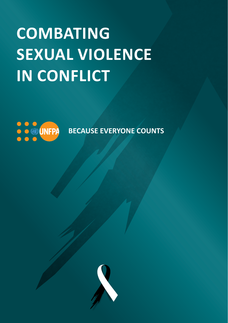# **COMBATING SEXUAL VIOLENCE IN CONFLICT**



**BECAUSE EVERYONE COUNTS** 

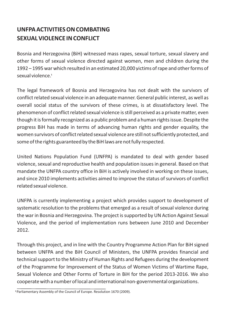## **UNFPA ACTIVITIES ON COMBATING SEXUAL VIOLENCE IN CONFLICT**

Bosnia and Herzegovina (BiH) witnessed mass rapes, sexual torture, sexual slavery and other forms of sexual violence directed against women, men and children during the 1992 – 1995 war which resulted in an estimated 20,000 victims of rape and other forms of 1 sexual violence. **1**

The legal framework of Bosnia and Herzegovina has not dealt with the survivors of conflict related sexual violence in an adequate manner. General public interest, as well as overall social status of the survivors of these crimes, is at dissatisfactory level. The phenomenon of conflict related sexual violence is still perceived as a private matter, even though it is formally recognized as a public problem and a human rights issue. Despite the progress BiH has made in terms of advancing human rights and gender equality, the women survivors of conflict related sexual violence are still not sufficiently protected, and some of the rights guaranteed by the BiH laws are not fully respected.

United Nations Population Fund (UNFPA) is mandated to deal with gender based violence, sexual and reproductive health and population issues in general. Based on that mandate the UNFPA country office in BiH is actively involved in working on these issues, and since 2010 implements activities aimed to improve the status of survivors of conflict related sexual violence.

UNFPA is currently implementing a project which provides support to development of systematic resolution to the problems that emerged as a result of sexual violence during the war in Bosnia and Herzegovina. The project is supported by UN Action Against Sexual Violence, and the period of implementation runs between June 2010 and December 2012.

Through this project, and in line with the Country Programme Action Plan for BiH signed between UNFPA and the BiH Council of Ministers, the UNFPA provides financial and technical support to the Ministry of Human Rights and Refugees during the development of the Programme for Improvement of the Status of Women Victims of Wartime Rape, Sexual Violence and Other Forms of Torture in BiH for the period 2013-2016. We also cooperate with a number of local and international non-governmental organizations.

**<sup>1</sup>** Parliamentary Assembly of the Council of Europe. Resolution 1670 (2009).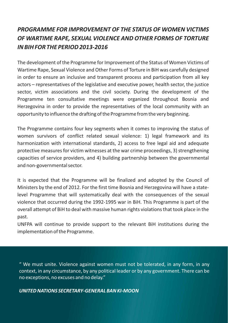## *PROGRAMME FOR IMPROVEMENT OF THE STATUS OF WOMEN VICTIMS OF WARTIME RAPE, SEXUAL VIOLENCE AND OTHER FORMS OF TORTURE IN BIH FOR THE PERIOD 2013-2016*

The development of the Programme for Improvement of the Status of Women Victims of Wartime Rape, Sexual Violence and Other Forms of Torture in BiH was carefully designed in order to ensure an inclusive and transparent process and participation from all key actors – representatives of the legislative and executive power, health sector, the justice sector, victim associations and the civil society. During the development of the Programme ten consultative meetings were organized throughout Bosnia and Herzegovina in order to provide the representatives of the local community with an opportunity to influence the drafting of the Programme from the very beginning.

The Programme contains four key segments when it comes to improving the status of women survivors of conflict related sexual violence: 1) legal framework and its harmonization with international standards, 2) access to free legal aid and adequate protective measures for victim witnesses at the war crime proceedings, 3) strengthening capacities of service providers, and 4) building partnership between the governmental and non-governmental sector.

It is expected that the Programme will be finalized and adopted by the Council of Ministers by the end of 2012. For the first time Bosnia and Herzegovina will have a statelevel Programme that will systematically deal with the consequences of the sexual violence that occurred during the 1992-1995 war in BiH. This Programme is part of the overall attempt of BiH to deal with massive human rights violations that took place in the past.

UNFPA will continue to provide support to the relevant BiH institutions during the implementation of the Programme.

" We must unite. Violence against women must not be tolerated, in any form, in any context, in any circumstance, by any political leader or by any government. There can be no exceptions, no excuses and no delay."

#### *UNITED NATIONS SECRETARY-GENERAL BAN KI-MOON*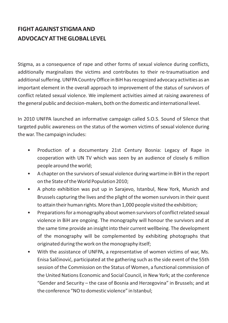## **FIGHT AGAINST STIGMA AND ADVOCACY AT THE GLOBAL LEVEL**

Stigma, as a consequence of rape and other forms of sexual violence during conflicts, additionally marginalizes the victims and contributes to their re-traumatisation and additional suffering. UNFPA Country Office in BiH has recognized advocacy activities as an important element in the overall approach to improvement of the status of survivors of conflict related sexual violence. We implement activities aimed at raising awareness of the general public and decision-makers, both on the domestic and international level.

In 2010 UNFPA launched an informative campaign called S.O.S. Sound of Silence that targeted public awareness on the status of the women victims of sexual violence during the war. The campaign includes:

- Production of a documentary 21st Century Bosnia: Legacy of Rape in cooperation with UN TV which was seen by an audience of closely 6 million people around the world;
- A chapter on the survivors of sexual violence during wartime in BiH in the report on the State of the World Population 2010;
- A photo exhibition was put up in Sarajevo, Istanbul, New York, Munich and Brussels capturing the lives and the plight of the women survivors in their quest to attain their human rights. More than 1,000 people visited the exhibition;
- Preparations for a monography about women survivors of conflict related sexual violence in BiH are ongoing. The monography will honour the survivors and at the same time provide an insight into their current wellbeing. The development of the monography will be complemented by exhibiting photographs that originated during the work on the monography itself;
- With the assistance of UNFPA, a representative of women victims of war, Ms. Enisa Salčinović, participated at the gathering such as the side event of the 55th session of the Commission on the Status of Women, a functional commission of the United Nations Economic and Social Council, in New York; at the conference "Gender and Security – the case of Bosnia and Herzegovina" in Brussels; and at the conference "NO to domestic violence" in Istanbul;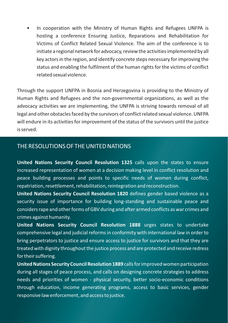• In cooperation with the Ministry of Human Rights and Refugees UNFPA is hosting a conference Ensuring Justice, Reparations and Rehabilitation for Victims of Conflict Related Sexual Violence. The aim of the conference is to initiate a regional network for advocacy, review the activities implemented by all key actors in the region, and identify concrete steps necessary for improving the status and enabling the fulfilment of the human rights for the victims of conflict related sexual violence.

Through the support UNFPA in Bosnia and Herzegovina is providing to the Ministry of Human Rights and Refugees and the non-governmental organizations, as well as the advocacy activities we are implementing, the UNFPA is striving towards removal of all legal and other obstacles faced by the survivors of conflict related sexual violence. UNFPA will endure in its activities for improvement of the status of the survivors until the justice is served.

#### THE RESOLUTIONS OF THE UNITED NATIONS

**United Nations Security Council Resolution 1325** calls upon the states to ensure increased representation of women at a decision making level in conflict resolution and peace building processes and points to specific needs of women during conflict, repatriation, resettlement, rehabilitation, reintegration and reconstruction.

**United Nations Security Council Resolution 1820** defines gender based violence as a security issue of importance for building long-standing and sustainable peace and considers rape and other forms of GBV during and after armed conflicts as war crimes and crimes against humanity.

**United Nations Security Council Resolution 1888** urges states to undertake comprehensive legal and judicial reforms in conformity with international law in order to bring perpetrators to justice and ensure access to justice for survivors and that they are treated with dignity throughout the justice process and are protected and receive redress for their suffering.

**United Nations Security Council Resolution 1889** calls for improved women participation during all stages of peace process, and calls on designing concrete strategies to address needs and priorities of women - physical security, better socio-economic conditions through education, income generating programs, access to basic services, gender responsive law enforcement, and access to justice.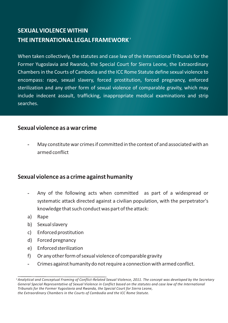## **SEXUAL VIOLENCE WITHIN THE INTERNATIONAL LEGAL FRAMEWORK 2**

When taken collectively, the statutes and case law of the International Tribunals for the Former Yugoslavia and Rwanda, the Special Court for Sierra Leone, the Extraordinary Chambers in the Courts of Cambodia and the ICC Rome Statute define sexual violence to encompass: rape, sexual slavery, forced prostitution, forced pregnancy, enforced sterilization and any other form of sexual violence of comparable gravity, which may include indecent assault, trafficking, inappropriate medical examinations and strip searches.

#### **Sexual violence as a war crime**

- May constitute war crimes if committed in the context of and associated with an armed conflict

#### **Sexual violence as a crime against humanity**

- Any of the following acts when committed as part of a widespread or systematic attack directed against a civilian population, with the perpetrator's knowledge that such conduct was part of the attack:
- a) Rape
- b) Sexual slavery
- c) Enforced prostitution
- d) Forced pregnancy
- e) Enforced sterilization
- f) Or any other form of sexual violence of comparable gravity
- Crimes against humanity do not require a connection with armed conflict.

<sup>2</sup> *Analytical and Conceptual Framing of Conflict-Related Sexual Violence, 2011. The concept was developed by the Secretary General Special Representative of Sexual Violence in Conflict based on the statutes and case law of the International Tribunals for the Former Yugoslavia and Rwanda, the Special Court for Sierra Leone, the Extraordinary Chambers in the Courts of Cambodia and the ICC Rome Statute.*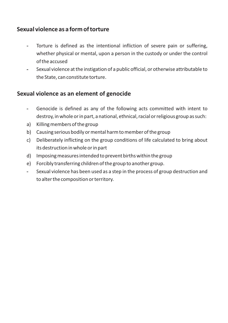## **Sexual violence as a form of torture**

- Torture is defined as the intentional infliction of severe pain or suffering, whether physical or mental, upon a person in the custody or under the control of the accused
- Sexual violence at the instigation of a public official, or otherwise attributable to the State, can constitute torture.

## **Sexual violence as an element of genocide**

- Genocide is defined as any of the following acts committed with intent to destroy, in whole or in part, a national, ethnical, racial or religious group as such:
- a) Killing members of the group
- b) Causing serious bodily or mental harm to member of the group
- c) Deliberately inflicting on the group conditions of life calculated to bring about its destruction in whole or in part
- d) Imposing measures intended to prevent births within the group
- e) Forcibly transferring children of the group to another group.
- Sexual violence has been used as a step in the process of group destruction and to alter the composition or territory.